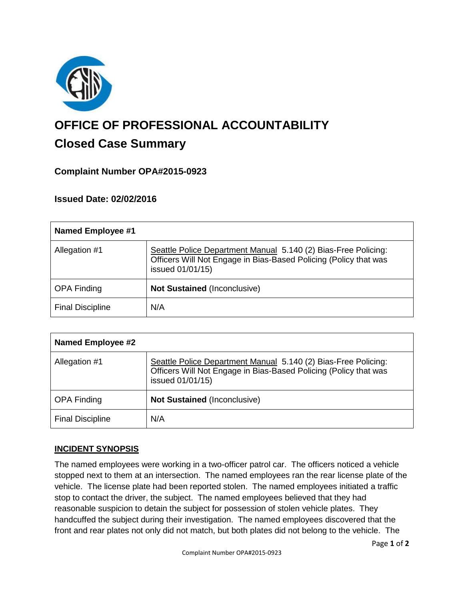

# **OFFICE OF PROFESSIONAL ACCOUNTABILITY Closed Case Summary**

# **Complaint Number OPA#2015-0923**

# **Issued Date: 02/02/2016**

| <b>Named Employee #1</b> |                                                                                                                                                        |
|--------------------------|--------------------------------------------------------------------------------------------------------------------------------------------------------|
| Allegation #1            | Seattle Police Department Manual 5.140 (2) Bias-Free Policing:<br>Officers Will Not Engage in Bias-Based Policing (Policy that was<br>issued 01/01/15) |
| <b>OPA Finding</b>       | <b>Not Sustained (Inconclusive)</b>                                                                                                                    |
| <b>Final Discipline</b>  | N/A                                                                                                                                                    |

| <b>Named Employee #2</b> |                                                                                                                                                        |
|--------------------------|--------------------------------------------------------------------------------------------------------------------------------------------------------|
| Allegation #1            | Seattle Police Department Manual 5.140 (2) Bias-Free Policing:<br>Officers Will Not Engage in Bias-Based Policing (Policy that was<br>issued 01/01/15) |
| <b>OPA Finding</b>       | <b>Not Sustained (Inconclusive)</b>                                                                                                                    |
| <b>Final Discipline</b>  | N/A                                                                                                                                                    |

#### **INCIDENT SYNOPSIS**

The named employees were working in a two-officer patrol car. The officers noticed a vehicle stopped next to them at an intersection. The named employees ran the rear license plate of the vehicle. The license plate had been reported stolen. The named employees initiated a traffic stop to contact the driver, the subject. The named employees believed that they had reasonable suspicion to detain the subject for possession of stolen vehicle plates. They handcuffed the subject during their investigation. The named employees discovered that the front and rear plates not only did not match, but both plates did not belong to the vehicle. The